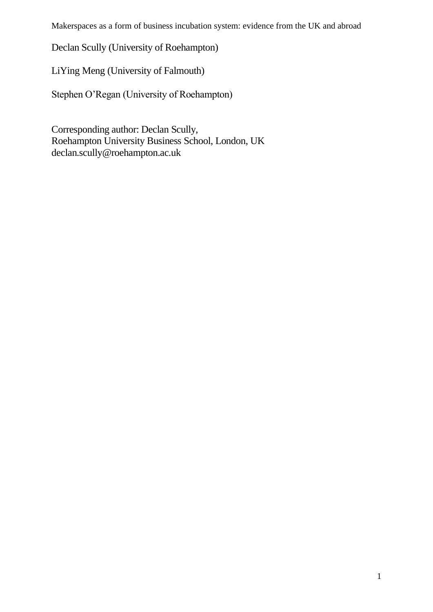Declan Scully (University of Roehampton)

LiYing Meng (University of Falmouth)

Stephen O'Regan (University of Roehampton)

Corresponding author: Declan Scully, Roehampton University Business School, London, UK declan.scully@roehampton.ac.uk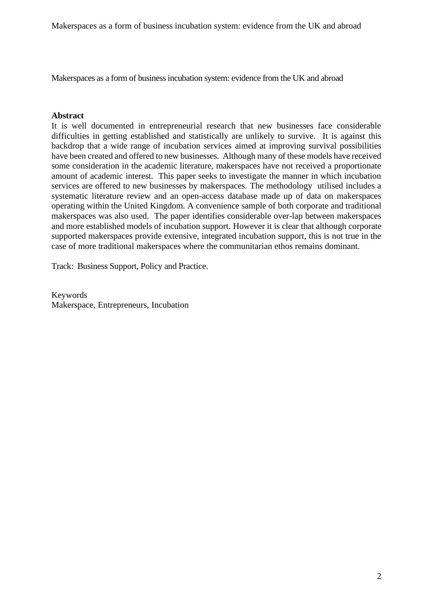Makerspaces as a form of business incubation system: evidence from the UK and abroad

#### **Abstract**

It is well documented in entrepreneurial research that new businesses face considerable difficulties in getting established and statistically are unlikely to survive. It is against this backdrop that a wide range of incubation services aimed at improving survival possibilities have been created and offered to new businesses. Although many of these models have received some consideration in the academic literature, makerspaces have not received a proportionate amount of academic interest. This paper seeks to investigate the manner in which incubation services are offered to new businesses by makerspaces. The methodology utilised includes a systematic literature review and an open-access database made up of data on makerspaces operating within the United Kingdom. A convenience sample of both corporate and traditional makerspaces was also used. The paper identifies considerable over-lap between makerspaces and more established models of incubation support. However it is clear that although corporate supported makerspaces provide extensive, integrated incubation support, this is not true in the case of more traditional makerspaces where the communitarian ethos remains dominant.

Track: [Business Support, Policy and Practice.](http://isbe.org.uk/isbe2017/conference-tracks/business-support/)

Keywords Makerspace, Entrepreneurs, Incubation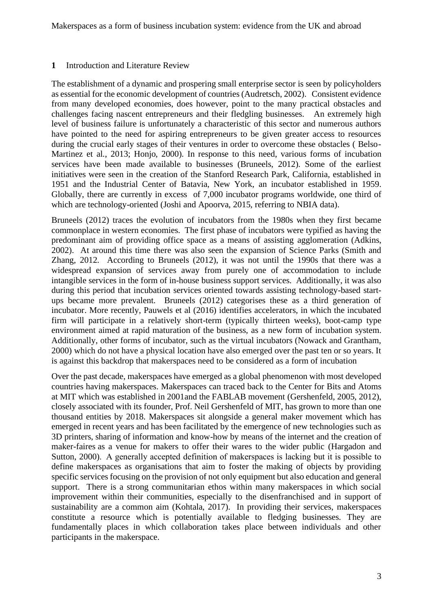### **1** Introduction and Literature Review

The establishment of a dynamic and prospering small enterprise sector is seen by policyholders as essential for the economic development of countries (Audretsch, 2002). Consistent evidence from many developed economies, does however, point to the many practical obstacles and challenges facing nascent entrepreneurs and their fledgling businesses. An extremely high level of business failure is unfortunately a characteristic of this sector and numerous authors have pointed to the need for aspiring entrepreneurs to be given greater access to resources during the crucial early stages of their ventures in order to overcome these obstacles ( Belso-Martinez et al., 2013; Honjo, 2000). In response to this need, various forms of incubation services have been made available to businesses (Bruneels, 2012). Some of the earliest initiatives were seen in the creation of the Stanford Research Park, California, established in 1951 and the Industrial Center of Batavia, New York, an incubator established in 1959. Globally, there are currently in excess of 7,000 incubator programs worldwide, one third of which are technology-oriented (Joshi and Apoorva, 2015, referring to NBIA data).

Bruneels (2012) traces the evolution of incubators from the 1980s when they first became commonplace in western economies. The first phase of incubators were typified as having the predominant aim of providing office space as a means of assisting agglomeration (Adkins, 2002). At around this time there was also seen the expansion of Science Parks (Smith and Zhang, 2012. According to Bruneels (2012), it was not until the 1990s that there was a widespread expansion of services away from purely one of accommodation to include intangible services in the form of in-house business support services. Additionally, it was also during this period that incubation services oriented towards assisting technology-based startups became more prevalent. Bruneels (2012) categorises these as a third generation of incubator. More recently, Pauwels et al (2016) identifies accelerators, in which the incubated firm will participate in a relatively short-term (typically thirteen weeks), boot-camp type environment aimed at rapid maturation of the business, as a new form of incubation system. Additionally, other forms of incubator, such as the virtual incubators (Nowack and Grantham, 2000) which do not have a physical location have also emerged over the past ten or so years. It is against this backdrop that makerspaces need to be considered as a form of incubation

Over the past decade, makerspaces have emerged as a global phenomenon with most developed countries having makerspaces. Makerspaces can traced back to the Center for Bits and Atoms at MIT which was established in 2001and the FABLAB movement (Gershenfeld, 2005, 2012), closely associated with its founder, Prof. Neil Gershenfeld of MIT, has grown to more than one thousand entities by 2018. Makerspaces sit alongside a general maker movement which has emerged in recent years and has been facilitated by the emergence of new technologies such as 3D printers, sharing of information and know-how by means of the internet and the creation of maker-faires as a venue for makers to offer their wares to the wider public (Hargadon and Sutton, 2000).  A generally accepted definition of makerspaces is lacking but it is possible to define makerspaces as organisations that aim to foster the making of objects by providing specific services focusing on the provision of not only equipment but also education and general support. There is a strong communitarian ethos within many makerspaces in which social improvement within their communities, especially to the disenfranchised and in support of sustainability are a common aim (Kohtala, 2017). In providing their services, makerspaces constitute a resource which is potentially available to fledging businesses. They are fundamentally places in which collaboration takes place between individuals and other participants in the makerspace.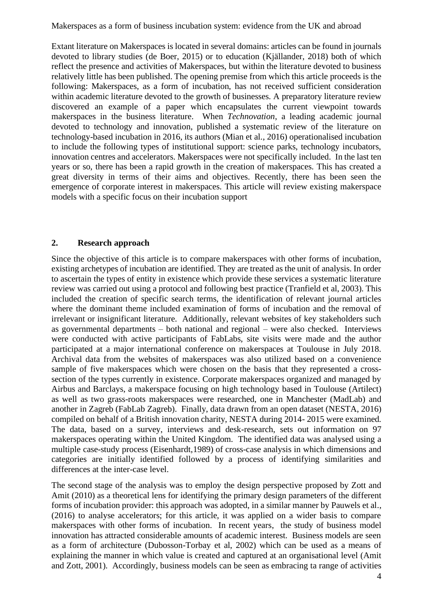Extant literature on Makerspaces is located in several domains: articles can be found in journals devoted to library studies (de Boer, 2015) or to education (Kjällander, 2018) both of which reflect the presence and activities of Makerspaces, but within the literature devoted to business relatively little has been published. The opening premise from which this article proceeds is the following: Makerspaces, as a form of incubation, has not received sufficient consideration within academic literature devoted to the growth of businesses. A preparatory literature review discovered an example of a paper which encapsulates the current viewpoint towards makerspaces in the business literature. When *Technovation*, a leading academic journal devoted to technology and innovation, published a systematic review of the literature on technology-based incubation in 2016, its authors (Mian et al., 2016) operationalised incubation to include the following types of institutional support: science parks, technology incubators, innovation centres and accelerators. Makerspaces were not specifically included. In the last ten years or so, there has been a rapid growth in the creation of makerspaces. This has created a great diversity in terms of their aims and objectives. Recently, there has been seen the emergence of corporate interest in makerspaces. This article will review existing makerspace models with a specific focus on their incubation support

#### **2. Research approach**

Since the objective of this article is to compare makerspaces with other forms of incubation, existing archetypes of incubation are identified. They are treated as the unit of analysis. In order to ascertain the types of entity in existence which provide these services a systematic literature review was carried out using a protocol and following best practice (Tranfield et al, 2003). This included the creation of specific search terms, the identification of relevant journal articles where the dominant theme included examination of forms of incubation and the removal of irrelevant or insignificant literature. Additionally, relevant websites of key stakeholders such as governmental departments – both national and regional – were also checked. Interviews were conducted with active participants of FabLabs, site visits were made and the author participated at a major international conference on makerspaces at Toulouse in July 2018. Archival data from the websites of makerspaces was also utilized based on a convenience sample of five makerspaces which were chosen on the basis that they represented a crosssection of the types currently in existence. Corporate makerspaces organized and managed by Airbus and Barclays, a makerspace focusing on high technology based in Toulouse (Artilect) as well as two grass-roots makerspaces were researched, one in Manchester (MadLab) and another in Zagreb (FabLab Zagreb). Finally, data drawn from an open dataset (NESTA, 2016) compiled on behalf of a British innovation charity, NESTA during 2014- 2015 were examined. The data, based on a survey, interviews and desk-research, sets out information on 97 makerspaces operating within the United Kingdom. The identified data was analysed using a multiple case-study process (Eisenhardt,1989) of cross-case analysis in which dimensions and categories are initially identified followed by a process of identifying similarities and differences at the inter-case level.

The second stage of the analysis was to employ the design perspective proposed by Zott and Amit (2010) as a theoretical lens for identifying the primary design parameters of the different forms of incubation provider: this approach was adopted, in a similar manner by Pauwels et al., (2016) to analyse accelerators; for this article, it was applied on a wider basis to compare makerspaces with other forms of incubation. In recent years, the study of business model innovation has attracted considerable amounts of academic interest. Business models are seen as a form of architecture (Dubosson-Torbay et al, 2002) which can be used as a means of explaining the manner in which value is created and captured at an organisational level (Amit and Zott, 2001). Accordingly, business models can be seen as embracing ta range of activities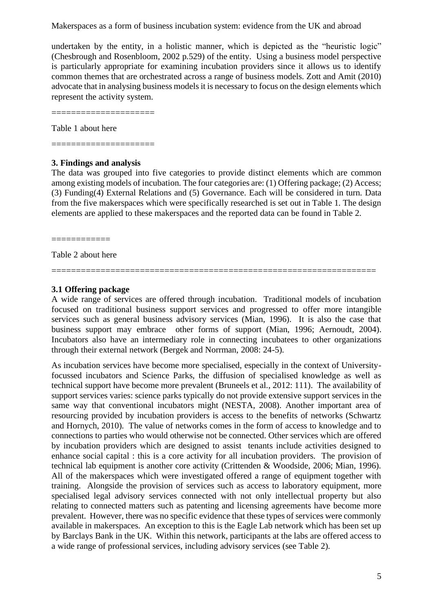undertaken by the entity, in a holistic manner, which is depicted as the "heuristic logic" (Chesbrough and Rosenbloom, 2002 p.529) of the entity. Using a business model perspective is particularly appropriate for examining incubation providers since it allows us to identify common themes that are orchestrated across a range of business models. Zott and Amit (2010) advocate that in analysing business models it is necessary to focus on the design elements which represent the activity system.

=====================

Table 1 about here

=====================

#### **3. Findings and analysis**

The data was grouped into five categories to provide distinct elements which are common among existing models of incubation. The four categories are: (1) Offering package; (2) Access; (3) Funding(4) External Relations and (5) Governance. Each will be considered in turn. Data from the five makerspaces which were specifically researched is set out in Table 1. The design elements are applied to these makerspaces and the reported data can be found in Table 2.

============

Table 2 about here

#### **3.1 Offering package**

A wide range of services are offered through incubation. Traditional models of incubation focused on traditional business support services and progressed to offer more intangible services such as general business advisory services (Mian, 1996). It is also the case that business support may embrace other forms of support (Mian, 1996; Aernoudt, 2004). Incubators also have an intermediary role in connecting incubatees to other organizations through their external network (Bergek and Norrman, 2008: 24-5).

==================================================================

As incubation services have become more specialised, especially in the context of Universityfocussed incubators and Science Parks, the diffusion of specialised knowledge as well as technical support have become more prevalent (Bruneels et al., 2012: 111). The availability of support services varies: science parks typically do not provide extensive support services in the same way that conventional incubators might (NESTA, 2008). Another important area of resourcing provided by incubation providers is access to the benefits of networks (Schwartz and Hornych, 2010). The value of networks comes in the form of access to knowledge and to connections to parties who would otherwise not be connected. Other services which are offered by incubation providers which are designed to assist tenants include activities designed to enhance social capital : this is a core activity for all incubation providers. The provision of technical lab equipment is another core activity (Crittenden & Woodside, 2006; Mian, 1996). All of the makerspaces which were investigated offered a range of equipment together with training. Alongside the provision of services such as access to laboratory equipment, more specialised legal advisory services connected with not only intellectual property but also relating to connected matters such as patenting and licensing agreements have become more prevalent. However, there was no specific evidence that these types of services were commonly available in makerspaces. An exception to this is the Eagle Lab network which has been set up by Barclays Bank in the UK. Within this network, participants at the labs are offered access to a wide range of professional services, including advisory services (see Table 2).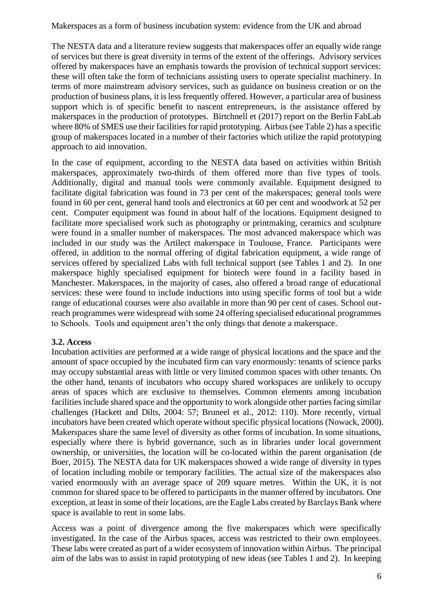The NESTA data and a literature review suggests that makerspaces offer an equally wide range of services but there is great diversity in terms of the extent of the offerings. Advisory services offered by makerspaces have an emphasis towards the provision of technical support services: these will often take the form of technicians assisting users to operate specialist machinery. In terms of more mainstream advisory services, such as guidance on business creation or on the production of business plans, it is less frequently offered. However, a particular area of business support which is of specific benefit to nascent entrepreneurs, is the assistance offered by makerspaces in the production of prototypes. Birtchnell et (2017) report on the Berlin FabLab where 80% of SMES use their facilities for rapid prototyping. Airbus (see Table 2) has a specific group of makerspaces located in a number of their factories which utilize the rapid prototyping approach to aid innovation.

In the case of equipment, according to the NESTA data based on activities within British makerspaces, approximately two-thirds of them offered more than five types of tools. Additionally, digital and manual tools were commonly available. Equipment designed to facilitate digital fabrication was found in 73 per cent of the makerspaces; general tools were found in 60 per cent, general hand tools and electronics at 60 per cent and woodwork at 52 per cent. Computer equipment was found in about half of the locations. Equipment designed to facilitate more specialised work such as photography or printmaking, ceramics and sculpture were found in a smaller number of makerspaces. The most advanced makerspace which was included in our study was the Artilect makerspace in Toulouse, France. Participants were offered, in addition to the normal offering of digital fabrication equipment, a wide range of services offered by specialized Labs with full technical support (see Tables 1 and 2). In one makerspace highly specialised equipment for biotech were found in a facility based in Manchester. Makerspaces, in the majority of cases, also offered a broad range of educational services: these were found to include inductions into using specific forms of tool but a wide range of educational courses were also available in more than 90 per cent of cases. School outreach programmes were widespread with some 24 offering specialised educational programmes to Schools. Tools and equipment aren't the only things that denote a makerspace.

### **3.2. Access**

Incubation activities are performed at a wide range of physical locations and the space and the amount of space occupied by the incubated firm can vary enormously: tenants of science parks may occupy substantial areas with little or very limited common spaces with other tenants. On the other hand, tenants of incubators who occupy shared workspaces are unlikely to occupy areas of spaces which are exclusive to themselves. Common elements among incubation facilities include shared space and the opportunity to work alongside other parties facing similar challenges (Hackett and Dilts, 2004: 57; Bruneel et al., 2012: 110). More recently, virtual incubators have been created which operate without specific physical locations (Nowack, 2000). Makerspaces share the same level of diversity as other forms of incubation. In some situations, especially where there is hybrid governance, such as in libraries under local government ownership, or universities, the location will be co-located within the parent organisation (de Boer, 2015). The NESTA data for UK makerspaces showed a wide range of diversity in types of location including mobile or temporary facilities. The actual size of the makerspaces also varied enormously with an average space of 209 square metres. Within the UK, it is not common for shared space to be offered to participants in the manner offered by incubators. One exception, at least in some of their locations, are the Eagle Labs created by Barclays Bank where space is available to rent in some labs.

Access was a point of divergence among the five makerspaces which were specifically investigated. In the case of the Airbus spaces, access was restricted to their own employees. These labs were created as part of a wider ecosystem of innovation within Airbus. The principal aim of the labs was to assist in rapid prototyping of new ideas (see Tables 1 and 2). In keeping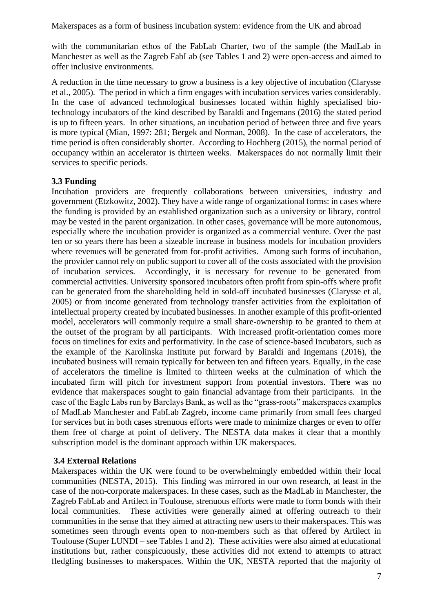with the communitarian ethos of the FabLab Charter, two of the sample (the MadLab in Manchester as well as the Zagreb FabLab (see Tables 1 and 2) were open-access and aimed to offer inclusive environments.

A reduction in the time necessary to grow a business is a key objective of incubation (Clarysse et al., 2005). The period in which a firm engages with incubation services varies considerably. In the case of advanced technological businesses located within highly specialised biotechnology incubators of the kind described by Baraldi and Ingemans (2016) the stated period is up to fifteen years. In other situations, an incubation period of between three and five years is more typical (Mian, 1997: 281; Bergek and Norman, 2008). In the case of accelerators, the time period is often considerably shorter. According to Hochberg (2015), the normal period of occupancy within an accelerator is thirteen weeks. Makerspaces do not normally limit their services to specific periods.

### **3.3 Funding**

Incubation providers are frequently collaborations between universities, industry and government (Etzkowitz, 2002). They have a wide range of organizational forms: in cases where the funding is provided by an established organization such as a university or library, control may be vested in the parent organization. In other cases, governance will be more autonomous, especially where the incubation provider is organized as a commercial venture. Over the past ten or so years there has been a sizeable increase in business models for incubation providers where revenues will be generated from for-profit activities. Among such forms of incubation, the provider cannot rely on public support to cover all of the costs associated with the provision of incubation services. Accordingly, it is necessary for revenue to be generated from commercial activities. University sponsored incubators often profit from spin-offs where profit can be generated from the shareholding held in sold-off incubated businesses (Clarysse et al, 2005) or from income generated from technology transfer activities from the exploitation of intellectual property created by incubated businesses. In another example of this profit-oriented model, accelerators will commonly require a small share-ownership to be granted to them at the outset of the program by all participants. With increased profit-orientation comes more focus on timelines for exits and performativity. In the case of science-based Incubators, such as the example of the Karolinska Institute put forward by Baraldi and Ingemans (2016), the incubated business will remain typically for between ten and fifteen years. Equally, in the case of accelerators the timeline is limited to thirteen weeks at the culmination of which the incubated firm will pitch for investment support from potential investors. There was no evidence that makerspaces sought to gain financial advantage from their participants. In the case of the Eagle Labs run by Barclays Bank, as well as the "grass-roots" makerspaces examples of MadLab Manchester and FabLab Zagreb, income came primarily from small fees charged for services but in both cases strenuous efforts were made to minimize charges or even to offer them free of charge at point of delivery. The NESTA data makes it clear that a monthly subscription model is the dominant approach within UK makerspaces.

### **3.4 External Relations**

Makerspaces within the UK were found to be overwhelmingly embedded within their local communities (NESTA, 2015). This finding was mirrored in our own research, at least in the case of the non-corporate makerspaces. In these cases, such as the MadLab in Manchester, the Zagreb FabLab and Artilect in Toulouse, strenuous efforts were made to form bonds with their local communities. These activities were generally aimed at offering outreach to their communities in the sense that they aimed at attracting new users to their makerspaces. This was sometimes seen through events open to non-members such as that offered by Artilect in Toulouse (Super LUNDI – see Tables 1 and 2). These activities were also aimed at educational institutions but, rather conspicuously, these activities did not extend to attempts to attract fledgling businesses to makerspaces. Within the UK, NESTA reported that the majority of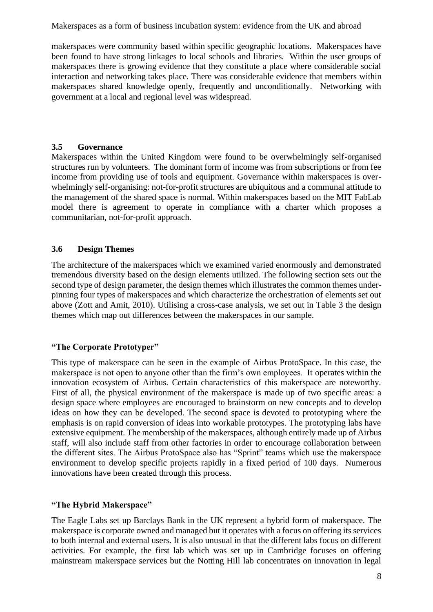makerspaces were community based within specific geographic locations. Makerspaces have been found to have strong linkages to local schools and libraries. Within the user groups of makerspaces there is growing evidence that they constitute a place where considerable social interaction and networking takes place. There was considerable evidence that members within makerspaces shared knowledge openly, frequently and unconditionally. Networking with government at a local and regional level was widespread.

### **3.5 Governance**

Makerspaces within the United Kingdom were found to be overwhelmingly self-organised structures run by volunteers. The dominant form of income was from subscriptions or from fee income from providing use of tools and equipment. Governance within makerspaces is overwhelmingly self-organising: not-for-profit structures are ubiquitous and a communal attitude to the management of the shared space is normal. Within makerspaces based on the MIT FabLab model there is agreement to operate in compliance with a charter which proposes a communitarian, not-for-profit approach.

## **3.6 Design Themes**

The architecture of the makerspaces which we examined varied enormously and demonstrated tremendous diversity based on the design elements utilized. The following section sets out the second type of design parameter, the design themes which illustrates the common themes underpinning four types of makerspaces and which characterize the orchestration of elements set out above (Zott and Amit, 2010). Utilising a cross-case analysis, we set out in Table 3 the design themes which map out differences between the makerspaces in our sample.

## **"The Corporate Prototyper"**

This type of makerspace can be seen in the example of Airbus ProtoSpace. In this case, the makerspace is not open to anyone other than the firm's own employees. It operates within the innovation ecosystem of Airbus. Certain characteristics of this makerspace are noteworthy. First of all, the physical environment of the makerspace is made up of two specific areas: a design space where employees are encouraged to brainstorm on new concepts and to develop ideas on how they can be developed. The second space is devoted to prototyping where the emphasis is on rapid conversion of ideas into workable prototypes. The prototyping labs have extensive equipment. The membership of the makerspaces, although entirely made up of Airbus staff, will also include staff from other factories in order to encourage collaboration between the different sites. The Airbus ProtoSpace also has "Sprint" teams which use the makerspace environment to develop specific projects rapidly in a fixed period of 100 days. Numerous innovations have been created through this process.

### **"The Hybrid Makerspace"**

The Eagle Labs set up Barclays Bank in the UK represent a hybrid form of makerspace. The makerspace is corporate owned and managed but it operates with a focus on offering its services to both internal and external users. It is also unusual in that the different labs focus on different activities. For example, the first lab which was set up in Cambridge focuses on offering mainstream makerspace services but the Notting Hill lab concentrates on innovation in legal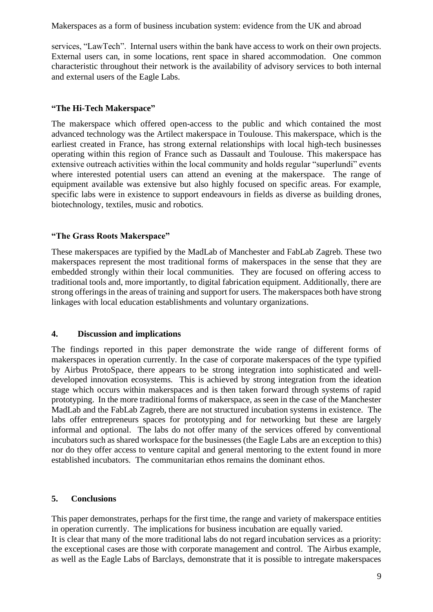services, "LawTech". Internal users within the bank have access to work on their own projects. External users can, in some locations, rent space in shared accommodation. One common characteristic throughout their network is the availability of advisory services to both internal and external users of the Eagle Labs.

### **"The Hi-Tech Makerspace"**

The makerspace which offered open-access to the public and which contained the most advanced technology was the Artilect makerspace in Toulouse. This makerspace, which is the earliest created in France, has strong external relationships with local high-tech businesses operating within this region of France such as Dassault and Toulouse. This makerspace has extensive outreach activities within the local community and holds regular "superlundi" events where interested potential users can attend an evening at the makerspace. The range of equipment available was extensive but also highly focused on specific areas. For example, specific labs were in existence to support endeavours in fields as diverse as building drones, biotechnology, textiles, music and robotics.

### **"The Grass Roots Makerspace"**

These makerspaces are typified by the MadLab of Manchester and FabLab Zagreb. These two makerspaces represent the most traditional forms of makerspaces in the sense that they are embedded strongly within their local communities. They are focused on offering access to traditional tools and, more importantly, to digital fabrication equipment. Additionally, there are strong offerings in the areas of training and support for users. The makerspaces both have strong linkages with local education establishments and voluntary organizations.

### **4. Discussion and implications**

The findings reported in this paper demonstrate the wide range of different forms of makerspaces in operation currently. In the case of corporate makerspaces of the type typified by Airbus ProtoSpace, there appears to be strong integration into sophisticated and welldeveloped innovation ecosystems. This is achieved by strong integration from the ideation stage which occurs within makerspaces and is then taken forward through systems of rapid prototyping. In the more traditional forms of makerspace, as seen in the case of the Manchester MadLab and the FabLab Zagreb, there are not structured incubation systems in existence. The labs offer entrepreneurs spaces for prototyping and for networking but these are largely informal and optional. The labs do not offer many of the services offered by conventional incubators such as shared workspace for the businesses (the Eagle Labs are an exception to this) nor do they offer access to venture capital and general mentoring to the extent found in more established incubators. The communitarian ethos remains the dominant ethos.

## **5. Conclusions**

This paper demonstrates, perhaps for the first time, the range and variety of makerspace entities in operation currently. The implications for business incubation are equally varied. It is clear that many of the more traditional labs do not regard incubation services as a priority: the exceptional cases are those with corporate management and control. The Airbus example, as well as the Eagle Labs of Barclays, demonstrate that it is possible to intregate makerspaces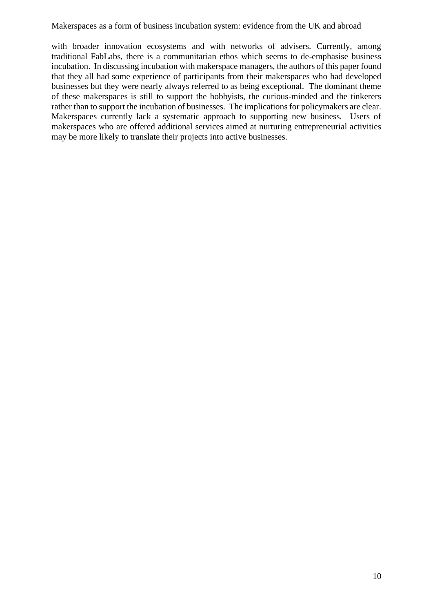with broader innovation ecosystems and with networks of advisers. Currently, among traditional FabLabs, there is a communitarian ethos which seems to de-emphasise business incubation. In discussing incubation with makerspace managers, the authors of this paper found that they all had some experience of participants from their makerspaces who had developed businesses but they were nearly always referred to as being exceptional. The dominant theme of these makerspaces is still to support the hobbyists, the curious-minded and the tinkerers rather than to support the incubation of businesses. The implications for policymakers are clear. Makerspaces currently lack a systematic approach to supporting new business. Users of makerspaces who are offered additional services aimed at nurturing entrepreneurial activities may be more likely to translate their projects into active businesses.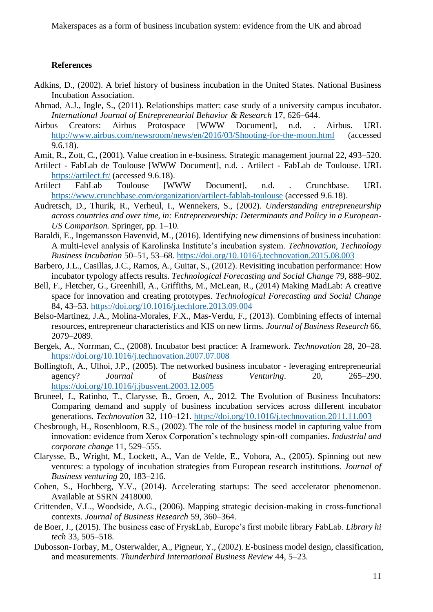#### **References**

- Adkins, D., (2002). A brief history of business incubation in the United States. National Business Incubation Association.
- Ahmad, A.J., Ingle, S., (2011). Relationships matter: case study of a university campus incubator. *International Journal of Entrepreneurial Behavior & Research* 17, 626–644.
- Airbus Creators: Airbus Protospace [WWW Document], n.d. . Airbus. URL <http://www.airbus.com/newsroom/news/en/2016/03/Shooting-for-the-moon.html> (accessed 9.6.18).
- Amit, R., Zott, C., (2001). Value creation in e-business. Strategic management journal 22, 493–520.
- Artilect FabLab de Toulouse [WWW Document], n.d. . Artilect FabLab de Toulouse. URL <https://artilect.fr/> (accessed 9.6.18).
- Artilect FabLab Toulouse [WWW Document], n.d. . Crunchbase. URL <https://www.crunchbase.com/organization/artilect-fablab-toulouse> (accessed 9.6.18).
- Audretsch, D., Thurik, R., Verheul, I., Wennekers, S., (2002). *Understanding entrepreneurship across countries and over time, in: Entrepreneurship: Determinants and Policy in a European-US Comparison.* Springer, pp. 1–10.
- Baraldi, E., Ingemansson Havenvid, M., (2016). Identifying new dimensions of business incubation: A multi-level analysis of Karolinska Institute's incubation system. *Technovation, Technology Business Incubation* 50–51, 53–68.<https://doi.org/10.1016/j.technovation.2015.08.003>
- Barbero, J.L., Casillas, J.C., Ramos, A., Guitar, S., (2012). Revisiting incubation performance: How incubator typology affects results. *Technological Forecasting and Social Change* 79, 888–902.
- Bell, F., Fletcher, G., Greenhill, A., Griffiths, M., McLean, R., (2014) Making MadLab: A creative space for innovation and creating prototypes. *Technological Forecasting and Social Change* 84, 43–53.<https://doi.org/10.1016/j.techfore.2013.09.004>
- Belso-Martinez, J.A., Molina-Morales, F.X., Mas-Verdu, F., (2013). Combining effects of internal resources, entrepreneur characteristics and KIS on new firms. *Journal of Business Research* 66, 2079–2089.
- Bergek, A., Norrman, C., (2008). Incubator best practice: A framework. *Technovation* 28, 20–28. <https://doi.org/10.1016/j.technovation.2007.07.008>
- Bollingtoft, A., Ulhoi, J.P., (2005). The networked business incubator leveraging entrepreneurial agency? *Journal* of B*usiness Venturing*. 20, 265–290. <https://doi.org/10.1016/j.jbusvent.2003.12.005>
- Bruneel, J., Ratinho, T., Clarysse, B., Groen, A., 2012. The Evolution of Business Incubators: Comparing demand and supply of business incubation services across different incubator generations. *Technovation* 32, 110–121.<https://doi.org/10.1016/j.technovation.2011.11.003>
- Chesbrough, H., Rosenbloom, R.S., (2002). The role of the business model in capturing value from innovation: evidence from Xerox Corporation's technology spin-off companies. *Industrial and corporate change* 11, 529–555.
- Clarysse, B., Wright, M., Lockett, A., Van de Velde, E., Vohora, A., (2005). Spinning out new ventures: a typology of incubation strategies from European research institutions. *Journal of Business venturing* 20, 183–216.
- Cohen, S., Hochberg, Y.V., (2014). Accelerating startups: The seed accelerator phenomenon. Available at SSRN 2418000.
- Crittenden, V.L., Woodside, A.G., (2006). Mapping strategic decision-making in cross-functional contexts. *Journal of Business Research* 59, 360–364.
- de Boer, J., (2015). The business case of FryskLab, Europe's first mobile library FabLab. *Library hi tech* 33, 505–518.
- Dubosson-Torbay, M., Osterwalder, A., Pigneur, Y., (2002). E-business model design, classification, and measurements. *Thunderbird International Business Review* 44, 5–23.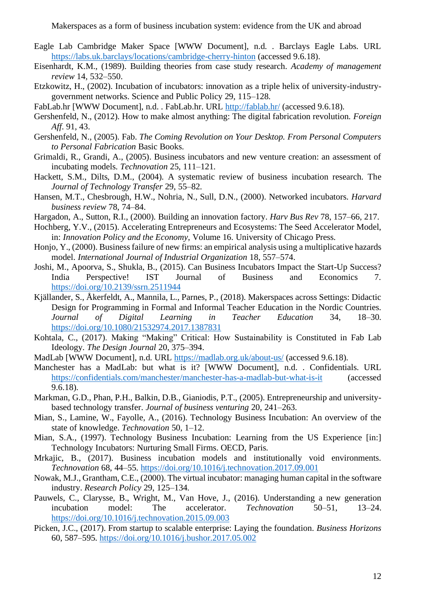- Eagle Lab Cambridge Maker Space [WWW Document], n.d. . Barclays Eagle Labs. URL <https://labs.uk.barclays/locations/cambridge-cherry-hinton> (accessed 9.6.18).
- Eisenhardt, K.M., (1989). Building theories from case study research. *Academy of management review* 14, 532–550.
- Etzkowitz, H., (2002). Incubation of incubators: innovation as a triple helix of university-industrygovernment networks. Science and Public Policy 29, 115–128.
- FabLab.hr [WWW Document], n.d. . FabLab.hr. URL<http://fablab.hr/> (accessed 9.6.18).
- Gershenfeld, N., (2012). How to make almost anything: The digital fabrication revolution. *Foreign Aff*. 91, 43.
- Gershenfeld, N., (2005). Fab. *The Coming Revolution on Your Desktop. From Personal Computers to Personal Fabrication* Basic Books.
- Grimaldi, R., Grandi, A., (2005). Business incubators and new venture creation: an assessment of incubating models. *Technovation* 25, 111–121.
- Hackett, S.M., Dilts, D.M., (2004). A systematic review of business incubation research. The *Journal of Technology Transfer* 29, 55–82.
- Hansen, M.T., Chesbrough, H.W., Nohria, N., Sull, D.N., (2000). Networked incubators. *Harvard business review* 78, 74–84.
- Hargadon, A., Sutton, R.I., (2000). Building an innovation factory. *Harv Bus Rev* 78, 157–66, 217.
- Hochberg, Y.V., (2015). Accelerating Entrepreneurs and Ecosystems: The Seed Accelerator Model, in: *Innovation Policy and the Economy*, Volume 16. University of Chicago Press.
- Honjo, Y., (2000). Business failure of new firms: an empirical analysis using a multiplicative hazards model. *International Journal of Industrial Organization* 18, 557–574.
- Joshi, M., Apoorva, S., Shukla, B., (2015). Can Business Incubators Impact the Start-Up Success? India Perspective! IST Journal of Business and Economics 7. <https://doi.org/10.2139/ssrn.2511944>
- Kjällander, S., Åkerfeldt, A., Mannila, L., Parnes, P., (2018). Makerspaces across Settings: Didactic Design for Programming in Formal and Informal Teacher Education in the Nordic Countries. *Journal of Digital Learning in Teacher Education* 34, 18–30. <https://doi.org/10.1080/21532974.2017.1387831>
- Kohtala, C., (2017). Making "Making" Critical: How Sustainability is Constituted in Fab Lab Ideology. *The Design Journal* 20, 375–394.
- MadLab [WWW Document], n.d. URL<https://madlab.org.uk/about-us/> (accessed 9.6.18).
- Manchester has a MadLab: but what is it? [WWW Document], n.d. . Confidentials. URL <https://confidentials.com/manchester/manchester-has-a-madlab-but-what-is-it> (accessed 9.6.18).
- Markman, G.D., Phan, P.H., Balkin, D.B., Gianiodis, P.T., (2005). Entrepreneurship and universitybased technology transfer. *Journal of business venturing* 20, 241–263.
- Mian, S., Lamine, W., Fayolle, A., (2016). Technology Business Incubation: An overview of the state of knowledge. *Technovation* 50, 1–12.
- Mian, S.A., (1997). Technology Business Incubation: Learning from the US Experience [in:] Technology Incubators: Nurturing Small Firms. OECD, Paris.
- Mrkajic, B., (2017). Business incubation models and institutionally void environments. *Technovation* 68, 44–55.<https://doi.org/10.1016/j.technovation.2017.09.001>
- Nowak, M.J., Grantham, C.E., (2000). The virtual incubator: managing human capital in the software industry. *Research Policy* 29, 125–134.
- Pauwels, C., Clarysse, B., Wright, M., Van Hove, J., (2016). Understanding a new generation incubation model: The accelerator. *Technovation* 50–51, 13–24. <https://doi.org/10.1016/j.technovation.2015.09.003>
- Picken, J.C., (2017). From startup to scalable enterprise: Laying the foundation. *Business Horizons* 60, 587–595.<https://doi.org/10.1016/j.bushor.2017.05.002>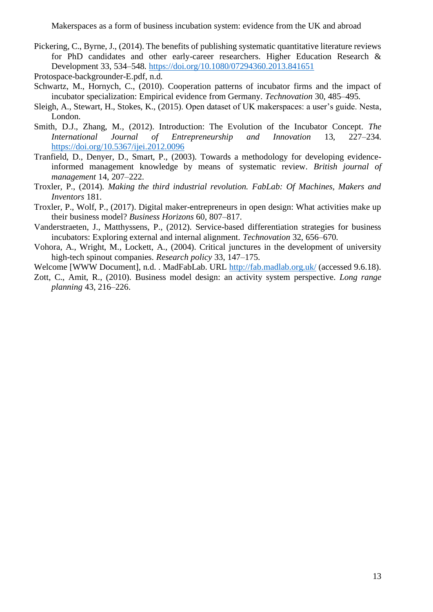Pickering, C., Byrne, J., (2014). The benefits of publishing systematic quantitative literature reviews for PhD candidates and other early-career researchers. Higher Education Research & Development 33, 534–548.<https://doi.org/10.1080/07294360.2013.841651>

Protospace-backgrounder-E.pdf, n.d.

- Schwartz, M., Hornych, C., (2010). Cooperation patterns of incubator firms and the impact of incubator specialization: Empirical evidence from Germany. *Technovation* 30, 485–495.
- Sleigh, A., Stewart, H., Stokes, K., (2015). Open dataset of UK makerspaces: a user's guide. Nesta, London.
- Smith, D.J., Zhang, M., (2012). Introduction: The Evolution of the Incubator Concept*. The International Journal of Entrepreneurship and Innovation* 13, 227–234. <https://doi.org/10.5367/ijei.2012.0096>
- Tranfield, D., Denyer, D., Smart, P., (2003). Towards a methodology for developing evidenceinformed management knowledge by means of systematic review. *British journal of management* 14, 207–222.
- Troxler, P., (2014). *Making the third industrial revolution. FabLab: Of Machines, Makers and Inventors* 181.
- Troxler, P., Wolf, P., (2017). Digital maker-entrepreneurs in open design: What activities make up their business model? *Business Horizons* 60, 807–817.
- Vanderstraeten, J., Matthyssens, P., (2012). Service-based differentiation strategies for business incubators: Exploring external and internal alignment. *Technovation* 32, 656–670.
- Vohora, A., Wright, M., Lockett, A., (2004). Critical junctures in the development of university high-tech spinout companies. *Research policy* 33, 147–175.
- Welcome [WWW Document], n.d. . MadFabLab. URL<http://fab.madlab.org.uk/> (accessed 9.6.18).
- Zott, C., Amit, R., (2010). Business model design: an activity system perspective. *Long range planning* 43, 216–226.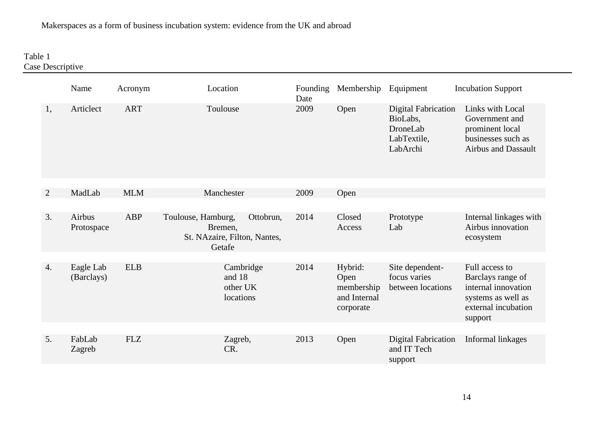## Table 1 Case Descriptive

|              | Name                    | Acronym    | Location                                                                             | Founding<br>Date | Membership                                                 | Equipment                                                                     | <b>Incubation Support</b>                                                                                          |
|--------------|-------------------------|------------|--------------------------------------------------------------------------------------|------------------|------------------------------------------------------------|-------------------------------------------------------------------------------|--------------------------------------------------------------------------------------------------------------------|
| 1,           | Articlect               | <b>ART</b> | Toulouse                                                                             | 2009             | Open                                                       | <b>Digital Fabrication</b><br>BioLabs,<br>DroneLab<br>LabTextile,<br>LabArchi | Links with Local<br>Government and<br>prominent local<br>businesses such as<br><b>Airbus and Dassault</b>          |
| $\mathbf{2}$ | MadLab                  | <b>MLM</b> | Manchester                                                                           | 2009             | Open                                                       |                                                                               |                                                                                                                    |
|              |                         |            |                                                                                      |                  |                                                            |                                                                               |                                                                                                                    |
| 3.           | Airbus<br>Protospace    | ABP        | Toulouse, Hamburg,<br>Ottobrun,<br>Bremen,<br>St. NAzaire, Filton, Nantes,<br>Getafe | 2014             | Closed<br>Access                                           | Prototype<br>Lab                                                              | Internal linkages with<br>Airbus innovation<br>ecosystem                                                           |
| 4.           | Eagle Lab<br>(Barclays) | <b>ELB</b> | Cambridge<br>and 18<br>other UK<br>locations                                         | 2014             | Hybrid:<br>Open<br>membership<br>and Internal<br>corporate | Site dependent-<br>focus varies<br>between locations                          | Full access to<br>Barclays range of<br>internal innovation<br>systems as well as<br>external incubation<br>support |
| 5.           | FabLab<br>Zagreb        | <b>FLZ</b> | Zagreb,<br>CR.                                                                       | 2013             | Open                                                       | <b>Digital Fabrication</b><br>and IT Tech<br>support                          | Informal linkages                                                                                                  |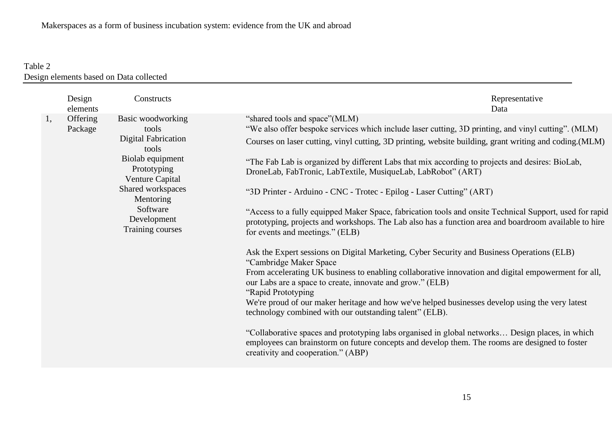# Table 2 Design elements based on Data collected

|    | Design<br>elements  | Constructs                                                                                                                                                                                               | Representative<br>Data                                                                                                                                                                                                                                                                                                                                                                                                                                                                                                                                                                                                                                                                                                                                                                                                                                                                                                                                                                                                                                                                                                                                                                                                                                                                                                                                                                                                                                                        |
|----|---------------------|----------------------------------------------------------------------------------------------------------------------------------------------------------------------------------------------------------|-------------------------------------------------------------------------------------------------------------------------------------------------------------------------------------------------------------------------------------------------------------------------------------------------------------------------------------------------------------------------------------------------------------------------------------------------------------------------------------------------------------------------------------------------------------------------------------------------------------------------------------------------------------------------------------------------------------------------------------------------------------------------------------------------------------------------------------------------------------------------------------------------------------------------------------------------------------------------------------------------------------------------------------------------------------------------------------------------------------------------------------------------------------------------------------------------------------------------------------------------------------------------------------------------------------------------------------------------------------------------------------------------------------------------------------------------------------------------------|
| 1, | Offering<br>Package | Basic woodworking<br>tools<br><b>Digital Fabrication</b><br>tools<br>Biolab equipment<br>Prototyping<br>Venture Capital<br>Shared workspaces<br>Mentoring<br>Software<br>Development<br>Training courses | "shared tools and space" (MLM)<br>"We also offer bespoke services which include laser cutting, 3D printing, and vinyl cutting". (MLM)<br>Courses on laser cutting, vinyl cutting, 3D printing, website building, grant writing and coding. (MLM)<br>"The Fab Lab is organized by different Labs that mix according to projects and desires: BioLab,<br>DroneLab, FabTronic, LabTextile, MusiqueLab, LabRobot" (ART)<br>"3D Printer - Arduino - CNC - Trotec - Epilog - Laser Cutting" (ART)<br>"Access to a fully equipped Maker Space, fabrication tools and onsite Technical Support, used for rapid<br>prototyping, projects and workshops. The Lab also has a function area and boardroom available to hire<br>for events and meetings." (ELB)<br>Ask the Expert sessions on Digital Marketing, Cyber Security and Business Operations (ELB)<br>"Cambridge Maker Space<br>From accelerating UK business to enabling collaborative innovation and digital empowerment for all,<br>our Labs are a space to create, innovate and grow." (ELB)<br>"Rapid Prototyping<br>We're proud of our maker heritage and how we've helped businesses develop using the very latest<br>technology combined with our outstanding talent" (ELB).<br>"Collaborative spaces and prototyping labs organised in global networks Design places, in which<br>employees can brainstorm on future concepts and develop them. The rooms are designed to foster<br>creativity and cooperation." (ABP) |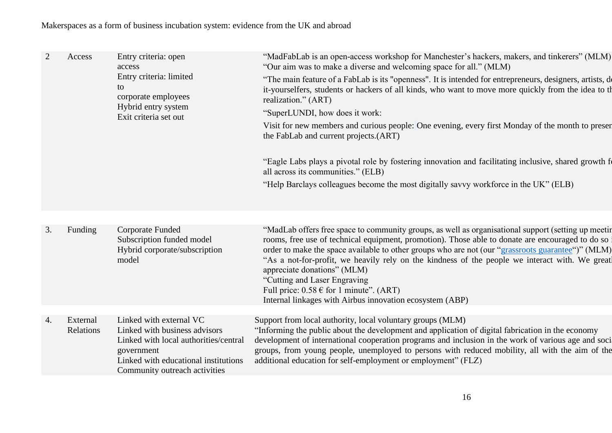| 2  | Access                | Entry criteria: open<br>access<br>Entry criteria: limited<br>to<br>corporate employees<br>Hybrid entry system<br>Exit criteria set out                                                   | "MadFabLab is an open-access workshop for Manchester's hackers, makers, and tinkerers" (MLM)<br>"Our aim was to make a diverse and welcoming space for all." (MLM)<br>"The main feature of a FabLab is its "openness". It is intended for entrepreneurs, designers, artists, do<br>it-yourselfers, students or hackers of all kinds, who want to move more quickly from the idea to the<br>realization." (ART)<br>"SuperLUNDI, how does it work:<br>Visit for new members and curious people: One evening, every first Monday of the month to present<br>the FabLab and current projects.(ART)<br>"Eagle Labs plays a pivotal role by fostering innovation and facilitating inclusive, shared growth for<br>all across its communities." (ELB)<br>"Help Barclays colleagues become the most digitally savvy workforce in the UK" (ELB) |
|----|-----------------------|------------------------------------------------------------------------------------------------------------------------------------------------------------------------------------------|----------------------------------------------------------------------------------------------------------------------------------------------------------------------------------------------------------------------------------------------------------------------------------------------------------------------------------------------------------------------------------------------------------------------------------------------------------------------------------------------------------------------------------------------------------------------------------------------------------------------------------------------------------------------------------------------------------------------------------------------------------------------------------------------------------------------------------------|
|    |                       |                                                                                                                                                                                          |                                                                                                                                                                                                                                                                                                                                                                                                                                                                                                                                                                                                                                                                                                                                                                                                                                        |
| 3. | Funding               | <b>Corporate Funded</b><br>Subscription funded model<br>Hybrid corporate/subscription<br>model                                                                                           | "MadLab offers free space to community groups, as well as organisational support (setting up meeting)<br>rooms, free use of technical equipment, promotion). Those able to donate are encouraged to do so i<br>order to make the space available to other groups who are not (our "grassroots guarantee")" (MLM)<br>"As a not-for-profit, we heavily rely on the kindness of the people we interact with. We great<br>appreciate donations" (MLM)<br>"Cutting and Laser Engraving<br>Full price: $0.58 \in$ for 1 minute". (ART)<br>Internal linkages with Airbus innovation ecosystem (ABP)                                                                                                                                                                                                                                           |
|    |                       |                                                                                                                                                                                          |                                                                                                                                                                                                                                                                                                                                                                                                                                                                                                                                                                                                                                                                                                                                                                                                                                        |
| 4. | External<br>Relations | Linked with external VC<br>Linked with business advisors<br>Linked with local authorities/central<br>government<br>Linked with educational institutions<br>Community outreach activities | Support from local authority, local voluntary groups (MLM)<br>"Informing the public about the development and application of digital fabrication in the economy<br>development of international cooperation programs and inclusion in the work of various age and soci<br>groups, from young people, unemployed to persons with reduced mobility, all with the aim of the<br>additional education for self-employment or employment" (FLZ)                                                                                                                                                                                                                                                                                                                                                                                             |
|    |                       |                                                                                                                                                                                          |                                                                                                                                                                                                                                                                                                                                                                                                                                                                                                                                                                                                                                                                                                                                                                                                                                        |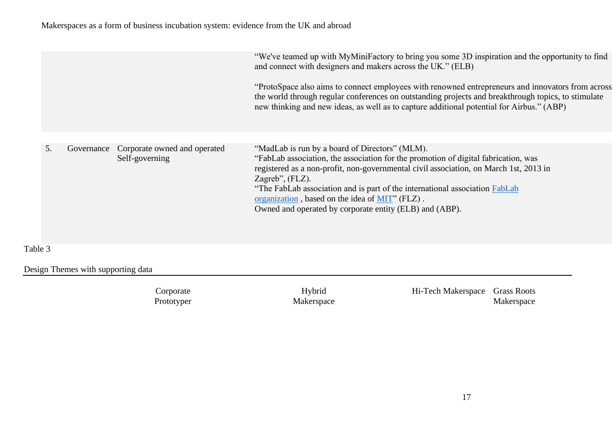|                  |                                                | "We've teamed up with MyMiniFactory to bring you some 3D inspiration and the opportunity to find<br>and connect with designers and makers across the UK." (ELB)<br>"ProtoSpace also aims to connect employees with renowned entrepreneurs and innovators from across<br>the world through regular conferences on outstanding projects and breakthrough topics, to stimulate<br>new thinking and new ideas, as well as to capture additional potential for Airbus." (ABP) |
|------------------|------------------------------------------------|--------------------------------------------------------------------------------------------------------------------------------------------------------------------------------------------------------------------------------------------------------------------------------------------------------------------------------------------------------------------------------------------------------------------------------------------------------------------------|
| 5.<br>Governance | Corporate owned and operated<br>Self-governing | "MadLab is run by a board of Directors" (MLM).<br>"FabLab association, the association for the promotion of digital fabrication, was<br>registered as a non-profit, non-governmental civil association, on March 1st, 2013 in<br>Zagreb", $(FLZ)$ .<br>"The FabLab association and is part of the international association FabLab<br>organization, based on the idea of MIT" (FLZ).<br>Owned and operated by corporate entity (ELB) and (ABP).                          |

Table 3

Design Themes with supporting data

Corporate Prototyper

Hybrid Makerspace Hi-Tech Makerspace Grass Roots Makerspace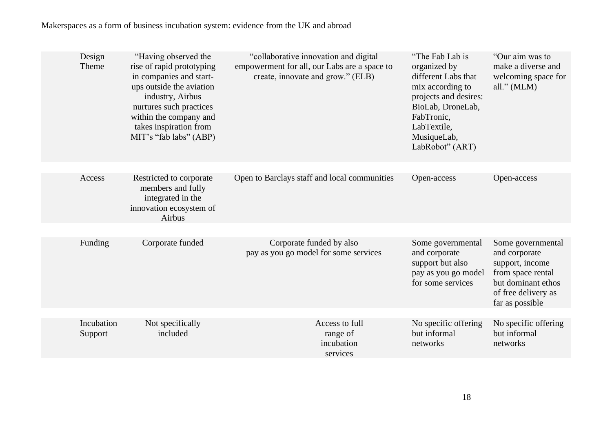| Design<br>Theme       | "Having observed the<br>rise of rapid prototyping<br>in companies and start-<br>ups outside the aviation<br>industry, Airbus<br>nurtures such practices<br>within the company and<br>takes inspiration from<br>MIT's "fab labs" (ABP) | "collaborative innovation and digital<br>empowerment for all, our Labs are a space to<br>create, innovate and grow." (ELB) | "The Fab Lab is"<br>organized by<br>different Labs that<br>mix according to<br>projects and desires:<br>BioLab, DroneLab,<br>FabTronic,<br>LabTextile,<br>MusiqueLab,<br>LabRobot" (ART) | "Our aim was to<br>make a diverse and<br>welcoming space for<br>all." $(MLM)$                                                              |
|-----------------------|---------------------------------------------------------------------------------------------------------------------------------------------------------------------------------------------------------------------------------------|----------------------------------------------------------------------------------------------------------------------------|------------------------------------------------------------------------------------------------------------------------------------------------------------------------------------------|--------------------------------------------------------------------------------------------------------------------------------------------|
|                       |                                                                                                                                                                                                                                       |                                                                                                                            |                                                                                                                                                                                          |                                                                                                                                            |
| Access                | Restricted to corporate<br>members and fully<br>integrated in the<br>innovation ecosystem of<br>Airbus                                                                                                                                | Open to Barclays staff and local communities                                                                               | Open-access                                                                                                                                                                              | Open-access                                                                                                                                |
|                       |                                                                                                                                                                                                                                       |                                                                                                                            |                                                                                                                                                                                          |                                                                                                                                            |
| Funding               | Corporate funded                                                                                                                                                                                                                      | Corporate funded by also<br>pay as you go model for some services                                                          | Some governmental<br>and corporate<br>support but also<br>pay as you go model<br>for some services                                                                                       | Some governmental<br>and corporate<br>support, income<br>from space rental<br>but dominant ethos<br>of free delivery as<br>far as possible |
|                       |                                                                                                                                                                                                                                       |                                                                                                                            |                                                                                                                                                                                          |                                                                                                                                            |
| Incubation<br>Support | Not specifically<br>included                                                                                                                                                                                                          | Access to full<br>range of<br>incubation<br>services                                                                       | No specific offering<br>but informal<br>networks                                                                                                                                         | No specific offering<br>but informal<br>networks                                                                                           |